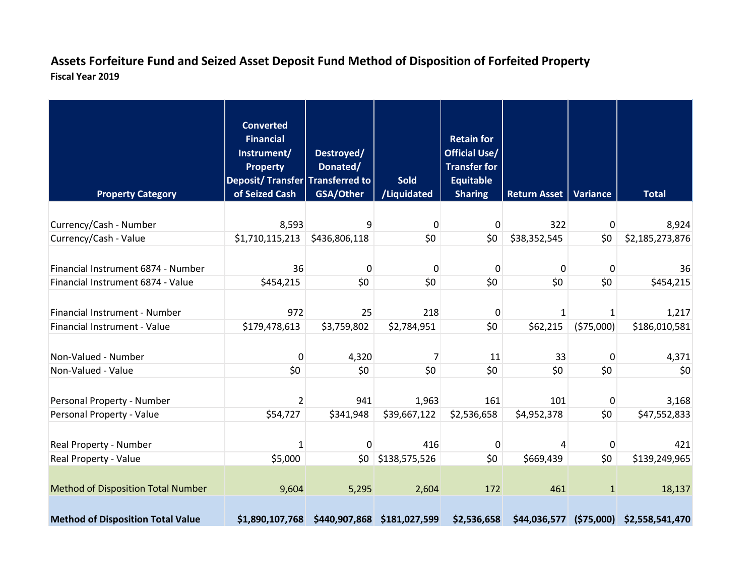## **Assets Forfeiture Fund and Seized Asset Deposit Fund Method of Disposition of Forfeited Property Fiscal Year 2019**

| <b>Property Category</b>                  | <b>Converted</b><br><b>Financial</b><br>Instrument/<br><b>Property</b><br>Deposit/Transfer Transferred to<br>of Seized Cash | Destroyed/<br>Donated/<br>GSA/Other | <b>Sold</b><br>/Liquidated | <b>Retain for</b><br><b>Official Use/</b><br><b>Transfer for</b><br><b>Equitable</b><br><b>Sharing</b> | <b>Return Asset</b> | <b>Variance</b> | <b>Total</b>                            |
|-------------------------------------------|-----------------------------------------------------------------------------------------------------------------------------|-------------------------------------|----------------------------|--------------------------------------------------------------------------------------------------------|---------------------|-----------------|-----------------------------------------|
|                                           |                                                                                                                             |                                     |                            |                                                                                                        |                     |                 |                                         |
| Currency/Cash - Number                    | 8,593                                                                                                                       | 9                                   | 0                          | 0                                                                                                      | 322                 | 0               | 8,924                                   |
| Currency/Cash - Value                     | \$1,710,115,213                                                                                                             | \$436,806,118                       | \$0                        | \$0                                                                                                    | \$38,352,545        | \$0             | \$2,185,273,876                         |
| Financial Instrument 6874 - Number        | 36                                                                                                                          | $\mathbf 0$                         | $\mathbf 0$                | $\mathbf 0$                                                                                            | 0                   | 0               | 36                                      |
| Financial Instrument 6874 - Value         | \$454,215                                                                                                                   | \$0                                 | \$0                        | \$0                                                                                                    | \$0                 | \$0             | \$454,215                               |
| Financial Instrument - Number             | 972                                                                                                                         | 25                                  | 218                        | 0                                                                                                      |                     | 1               | 1,217                                   |
| <b>Financial Instrument - Value</b>       | \$179,478,613                                                                                                               | \$3,759,802                         | \$2,784,951                | \$0                                                                                                    | \$62,215            | (575,000)       | \$186,010,581                           |
| Non-Valued - Number<br>Non-Valued - Value | 0<br>\$0                                                                                                                    | 4,320<br>\$0                        | 7<br>\$0                   | 11<br>\$0                                                                                              | 33<br>\$0           | 0<br>\$0        | 4,371<br>\$0                            |
|                                           |                                                                                                                             |                                     |                            |                                                                                                        |                     |                 |                                         |
| Personal Property - Number                | $\overline{2}$                                                                                                              | 941                                 | 1,963                      | 161                                                                                                    | 101                 | $\mathbf 0$     | 3,168                                   |
| Personal Property - Value                 | \$54,727                                                                                                                    | \$341,948                           | \$39,667,122               | \$2,536,658                                                                                            | \$4,952,378         | \$0             | \$47,552,833                            |
| Real Property - Number                    | $\mathbf{1}$                                                                                                                | $\mathbf 0$                         | 416                        | 0                                                                                                      | 4                   | $\mathbf 0$     | 421                                     |
| Real Property - Value                     | \$5,000                                                                                                                     | \$0                                 | \$138,575,526              | \$0\$                                                                                                  | \$669,439           | \$0             | \$139,249,965                           |
| <b>Method of Disposition Total Number</b> | 9,604                                                                                                                       | 5,295                               | 2,604                      | 172                                                                                                    | 461                 | $\mathbf{1}$    | 18,137                                  |
| <b>Method of Disposition Total Value</b>  | \$1,890,107,768                                                                                                             | \$440,907,868 \$181,027,599         |                            | \$2,536,658                                                                                            |                     |                 | \$44,036,577 (\$75,000) \$2,558,541,470 |